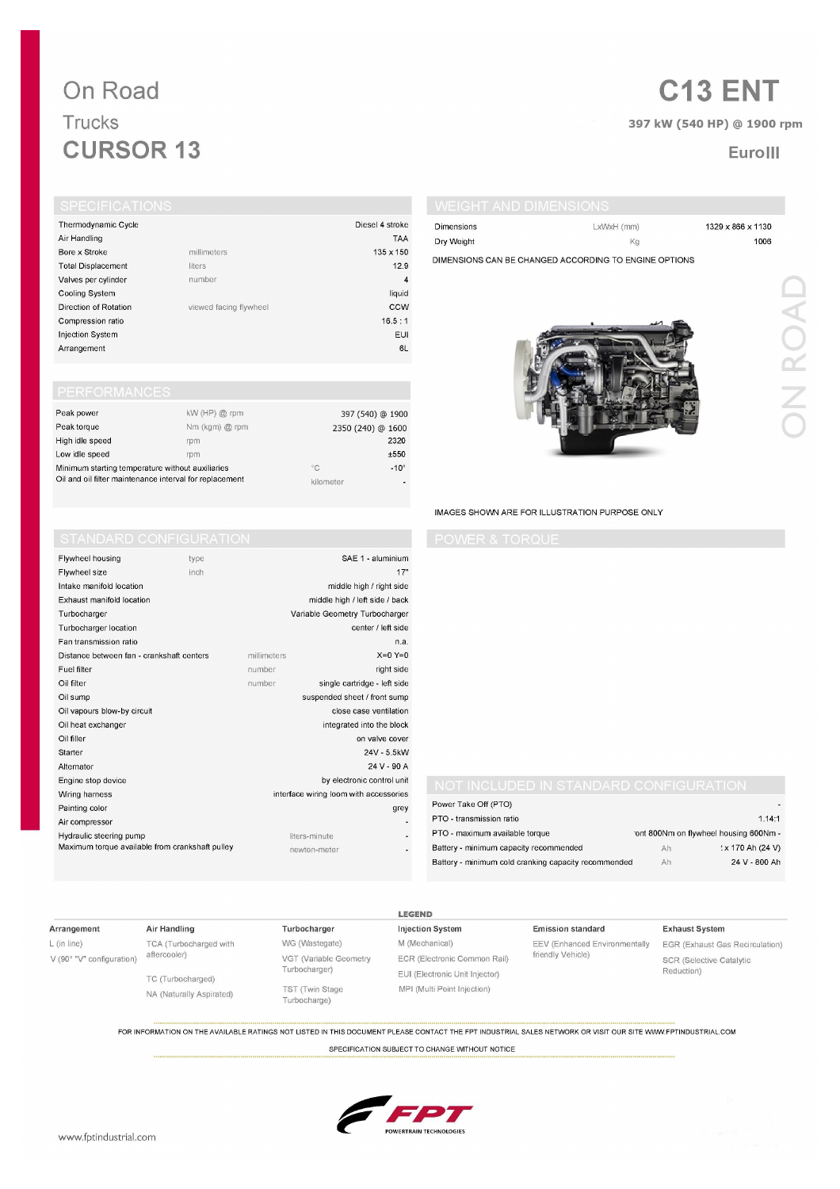## On Road Trucks **CURSOR 13**

# **C13 ENT**

## 397 kW (540 HP) @ 1900 rpm

## EuroIII

| <b>SPECIFICATIONS</b>     |                        |                  |
|---------------------------|------------------------|------------------|
| Thermodynamic Cycle       |                        | Diesel 4 stroke  |
| Air Handling              |                        | <b>TAA</b>       |
| Bore x Stroke             | millimeters            | $135 \times 150$ |
| <b>Total Displacement</b> | liters                 | 12.9             |
| Valves per cylinder       | number                 | 4                |
| Cooling System            |                        | liquid           |
| Direction of Rotation     | viewed facing flywheel | CCW              |

EUI

 $6L$ 

 $16.5:1$ 

SAE 1 - aluminium

center / left side

middle high / right side

middle high / left side / back

single cartridge - left side

close case ventilation

on valve cover

24V - 5.5kW 24 V - 90 A

grey

 $\overline{a}$ 

**LEGEND** 

integrated into the block

by electronic control unit

interface wiring loom with accessories

suspended sheet / front sump

Variable Geometry Turbocharger

 $17"$ 

n.a.

 $X=0$   $Y=0$ 

right side

| Dimensions | LxWxH (mm)                                            | 1329 x 866 x 1130 |
|------------|-------------------------------------------------------|-------------------|
| Dry Weight | Kg                                                    | 1006              |
|            | DIMENSIONS CAN BE CHANGED ACCORDING TO ENGINE OPTIONS |                   |
|            |                                                       |                   |
|            |                                                       |                   |
|            |                                                       |                   |
|            |                                                       |                   |
|            |                                                       |                   |
|            |                                                       |                   |
|            |                                                       |                   |

Compression ratio

**Injection System** 

Flywheel housing

Intake manifold location

Turbocharger location Fan transmission ratio

Exhaust manifold location

Oil vapours blow-by circuit

Oil heat exchanger

Distance between fan - crankshaft centers

Maximum torque available from crankshaft pulley

Flywheel size

Turbocharger

Fuel filter

Oil filter

Oil sump

Oil filler

Starter

Alternator Engine stop device

Wiring harness

Painting color

Air compressor Hydraulic steering pump

Arrangement

| Peak power                                              | $kW$ (HP) $@$ rpm |              | 397 (540) @ 1900  |
|---------------------------------------------------------|-------------------|--------------|-------------------|
| Peak torque                                             | Nm (kgm) @ rpm    |              | 2350 (240) @ 1600 |
| High idle speed                                         | rpm               |              | 2320              |
| Low idle speed                                          | rpm               |              | ±550              |
| Minimum starting temperature without auxiliaries        |                   | $^{\circ}$ C | $-10^\circ$       |
| Oil and oil filter maintenance interval for replacement |                   | kilometer    | ۰                 |

millimeters

number

number

type

inch

### IMAGES SHOWN ARE FOR ILLUSTRATION PURPOSE ONLY

| Power Take Off (PTO)                                 |                                       |                  |
|------------------------------------------------------|---------------------------------------|------------------|
| PTO - transmission ratio                             |                                       | 1.14:1           |
| PTO - maximum available torque                       | ont 800Nm on flywheel housing 600Nm - |                  |
| Battery - minimum capacity recommended               | Ah                                    | 'x 170 Ah (24 V) |
| Battery - minimum cold cranking capacity recommended | Ah                                    | 24 V - 800 Ah    |

### Arrangement

L (in line) V (90° "V" configuration)

TCA (Turbocharged with aftercooler) TC (Turbocharged)

NA (Naturally Aspirated)

Air Handling

WG (Wastegate) VGT (Variable Geometry Turbocharger) TST (Twin Stage Turbocharge)

Turbocharger

liters-minute

newton-meter

M (Mechanical) ECR (Electronic Common Rail) EUI (Electronic Unit Injector) MPI (Multi Point Injection)

**Injection System** 

**Emission standard** EEV (Enhanced Environmentally friendly Vehicle)

### **Exhaust System**

EGR (Exhaust Gas Recirculation) SCR (Selective Catalytic Reduction)

FOR INFORMATION ON THE AVAILABLE RATINGS NOT LISTED IN THIS DOCUMENT PLEASE CONTACT THE FPT INDUSTRIAL SALES NETWORK OR VISIT OUR SITE WWW.FPTINDUSTRIAL.COM

SPECIFICATION SUBJECT TO CHANGE WITHOUT NOTICE



DN ROAI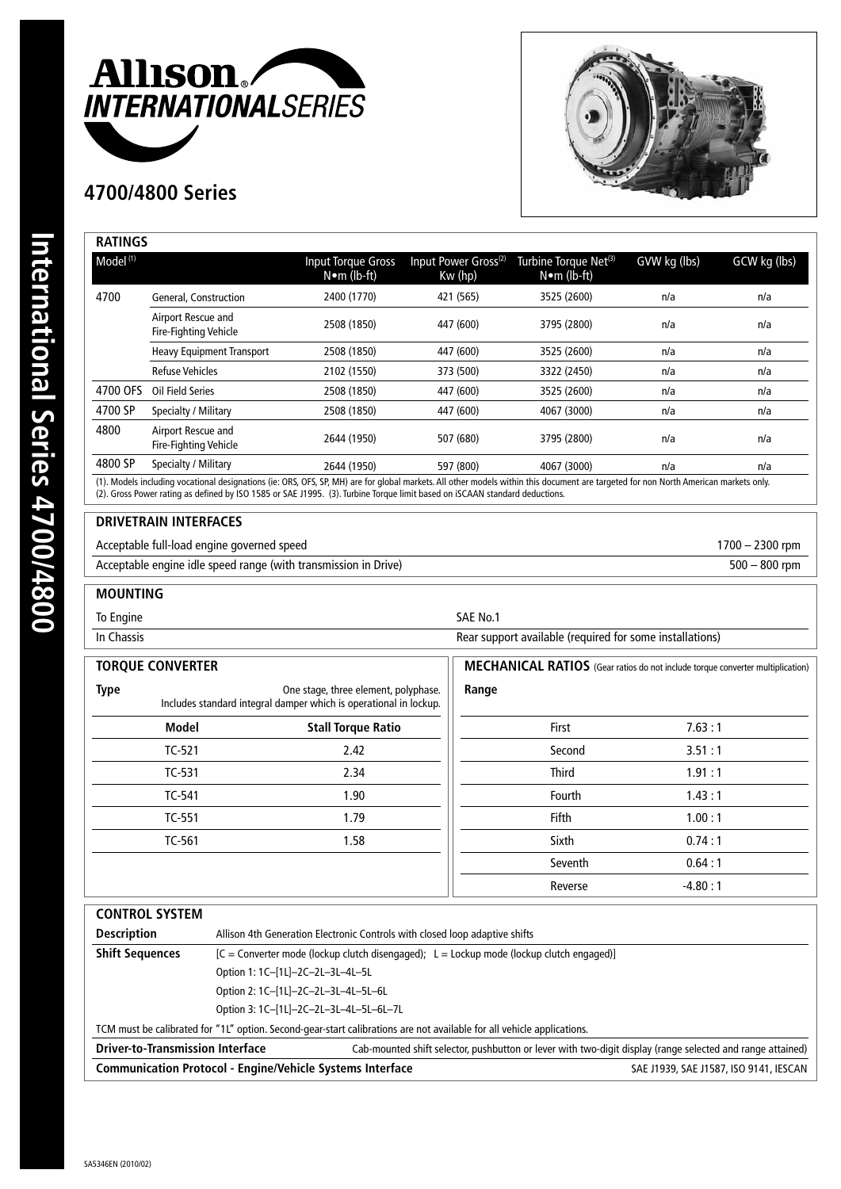

## **4700/4800 Series**



| Model <sup>(1)</sup> |                                             | Input Torque Gross<br>$N \bullet m$ (lb-ft) | Input Power Gross <sup>(2)</sup><br>Kw (hp) | Turbine Torque Net <sup>(3)</sup><br>$N \bullet m$ (lb-ft) | GVW kg (lbs) | GCW kg (lbs) |
|----------------------|---------------------------------------------|---------------------------------------------|---------------------------------------------|------------------------------------------------------------|--------------|--------------|
| 4700                 | <b>General, Construction</b>                | 2400 (1770)                                 | 421 (565)                                   | 3525 (2600)                                                | n/a          | n/a          |
|                      | Airport Rescue and<br>Fire-Fighting Vehicle | 2508 (1850)                                 | 447 (600)                                   | 3795 (2800)                                                | n/a          | n/a          |
|                      | <b>Heavy Equipment Transport</b>            | 2508 (1850)                                 | 447 (600)                                   | 3525 (2600)                                                | n/a          | n/a          |
|                      | <b>Refuse Vehicles</b>                      | 2102 (1550)                                 | 373 (500)                                   | 3322 (2450)                                                | n/a          | n/a          |
| 4700 OFS             | Oil Field Series                            | 2508 (1850)                                 | 447 (600)                                   | 3525 (2600)                                                | n/a          | n/a          |
| 4700 SP              | Specialty / Military                        | 2508 (1850)                                 | 447 (600)                                   | 4067 (3000)                                                | n/a          | n/a          |
| 4800                 | Airport Rescue and<br>Fire-Fighting Vehicle | 2644 (1950)                                 | 507 (680)                                   | 3795 (2800)                                                | n/a          | n/a          |
| 4800 SP              | Specialty / Military                        | 2644 (1950)                                 | 597 (800)                                   | 4067 (3000)                                                | n/a          | n/a          |

(2). Gross Power rating as defined by ISO 1585 or SAE J1995. (3). Turbine Torque limit based on iSCAAN standard deductions.

## **DRIVETRAIN INTERFACES**

Acceptable full-load engine governed speed 1700 – 2300 rpm

Acceptable engine idle speed range (with transmission in Drive) 500 – 800 rpm

## **MOUNTING**

To Engine SAE No.1

In Chassis **In Chassis Rear support available (required for some installations)** 

| <b>TORQUE CONVERTER</b>                                                                                                  |              | MECHANICAL RATIOS (Gear ratios do not include torque converter multiplication) |              |           |
|--------------------------------------------------------------------------------------------------------------------------|--------------|--------------------------------------------------------------------------------|--------------|-----------|
| <b>Type</b><br>One stage, three element, polyphase.<br>Includes standard integral damper which is operational in lockup. |              | Range                                                                          |              |           |
|                                                                                                                          | <b>Model</b> | <b>Stall Torque Ratio</b>                                                      | First        | 7.63:1    |
|                                                                                                                          | $TC-521$     | 2.42                                                                           | Second       | 3.51:1    |
|                                                                                                                          | TC-531       | 2.34                                                                           | <b>Third</b> | 1.91:1    |
|                                                                                                                          | TC-541       | 1.90                                                                           | Fourth       | 1.43:1    |
|                                                                                                                          | TC-551       | 1.79                                                                           | Fifth        | 1.00:1    |
|                                                                                                                          | TC-561       | 1.58                                                                           | Sixth        | 0.74:1    |
|                                                                                                                          |              |                                                                                | Seventh      | 0.64:1    |
|                                                                                                                          |              |                                                                                | Reverse      | $-4.80:1$ |

| <b>CONTROL SYSTEM</b>                                                                                                  |                                                                                            |                                                                                                            |  |  |
|------------------------------------------------------------------------------------------------------------------------|--------------------------------------------------------------------------------------------|------------------------------------------------------------------------------------------------------------|--|--|
| <b>Description</b>                                                                                                     | Allison 4th Generation Electronic Controls with closed loop adaptive shifts                |                                                                                                            |  |  |
| <b>Shift Sequences</b>                                                                                                 | $[C =$ Converter mode (lockup clutch disengaged); L = Lockup mode (lockup clutch engaged)] |                                                                                                            |  |  |
|                                                                                                                        | Option 1: 1C-[1L]-2C-2L-3L-4L-5L                                                           |                                                                                                            |  |  |
|                                                                                                                        | Option 2: 1C-[1L]-2C-2L-3L-4L-5L-6L                                                        |                                                                                                            |  |  |
|                                                                                                                        | Option 3: 1C-[1L]-2C-2L-3L-4L-5L-6L-7L                                                     |                                                                                                            |  |  |
| TCM must be calibrated for "1L" option. Second-gear-start calibrations are not available for all vehicle applications. |                                                                                            |                                                                                                            |  |  |
| <b>Driver-to-Transmission Interface</b>                                                                                |                                                                                            | Cab-mounted shift selector, pushbutton or lever with two-digit display (range selected and range attained) |  |  |
|                                                                                                                        | <b>Communication Protocol - Engine/Vehicle Systems Interface</b>                           | SAE J1939, SAE J1587, ISO 9141, IESCAN                                                                     |  |  |